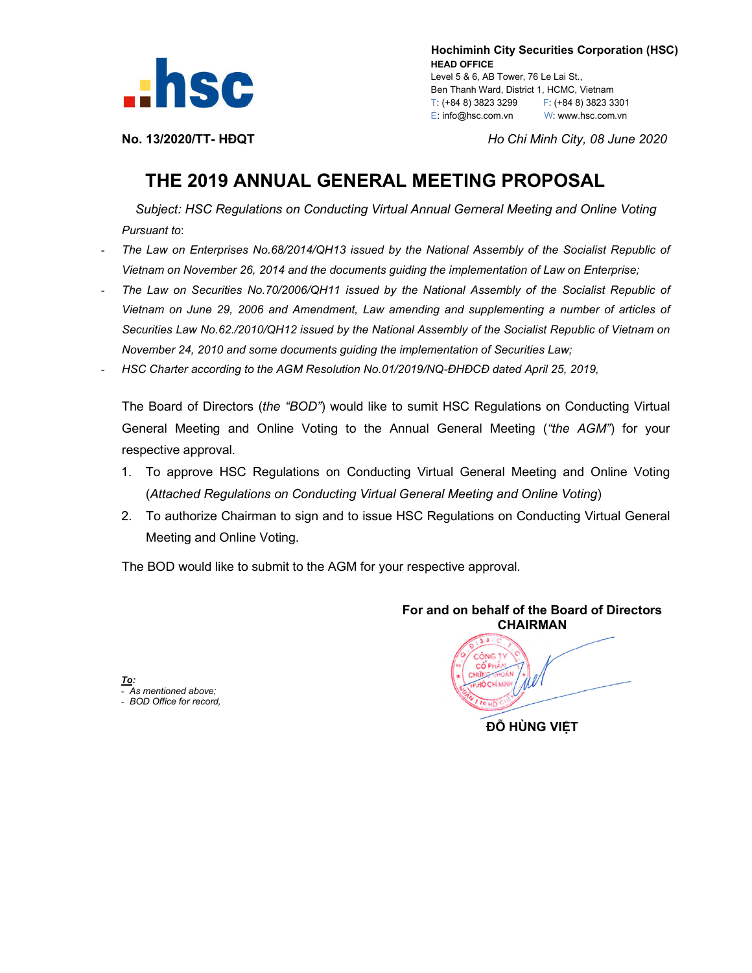

 **Hochiminh City Securities Corporation (HSC) HEAD OFFICE** Level 5 & 6, AB Tower, 76 Le Lai St., Ben Thanh Ward, District 1, HCMC, Vietnam T: (+84 8) 3823 3299 F: (+84 8) 3823 3301 E: info@hsc.com.vn W: www.hsc.com.vn

**No. 13/2020/TT- HĐQT** *Ho Chi Minh City, 08 June 2020*

# **THE 2019 ANNUAL GENERAL MEETING PROPOSAL**

*Subject: HSC Regulations on Conducting Virtual Annual Gerneral Meeting and Online Voting Pursuant to*:

- *The Law on Enterprises No.68/2014/QH13 issued by the National Assembly of the Socialist Republic of Vietnam on November 26, 2014 and the documents guiding the implementation of Law on Enterprise;*
- *The Law on Securities No.70/2006/QH11 issued by the National Assembly of the Socialist Republic of Vietnam on June 29, 2006 and Amendment, Law amending and supplementing a number of articles of Securities Law No.62./2010/QH12 issued by the National Assembly of the Socialist Republic of Vietnam on November 24, 2010 and some documents guiding the implementation of Securities Law;*
- *HSC Charter according to the AGM Resolution No.01/2019/NQ-ĐHĐCĐ dated April 25, 2019,*

The Board of Directors (*the "BOD"*) would like to sumit HSC Regulations on Conducting Virtual General Meeting and Online Voting to the Annual General Meeting (*"the AGM"*) for your respective approval.

- 1. To approve HSC Regulations on Conducting Virtual General Meeting and Online Voting (*Attached Regulations on Conducting Virtual General Meeting and Online Voting*)
- 2. To authorize Chairman to sign and to issue HSC Regulations on Conducting Virtual General Meeting and Online Voting.

The BOD would like to submit to the AGM for your respective approval.

*To:* - *As mentioned above;* - *BOD Office for record,*

**For and on behalf of the Board of Directors CHAIRMAN ĐỖ HÙNG VIỆT**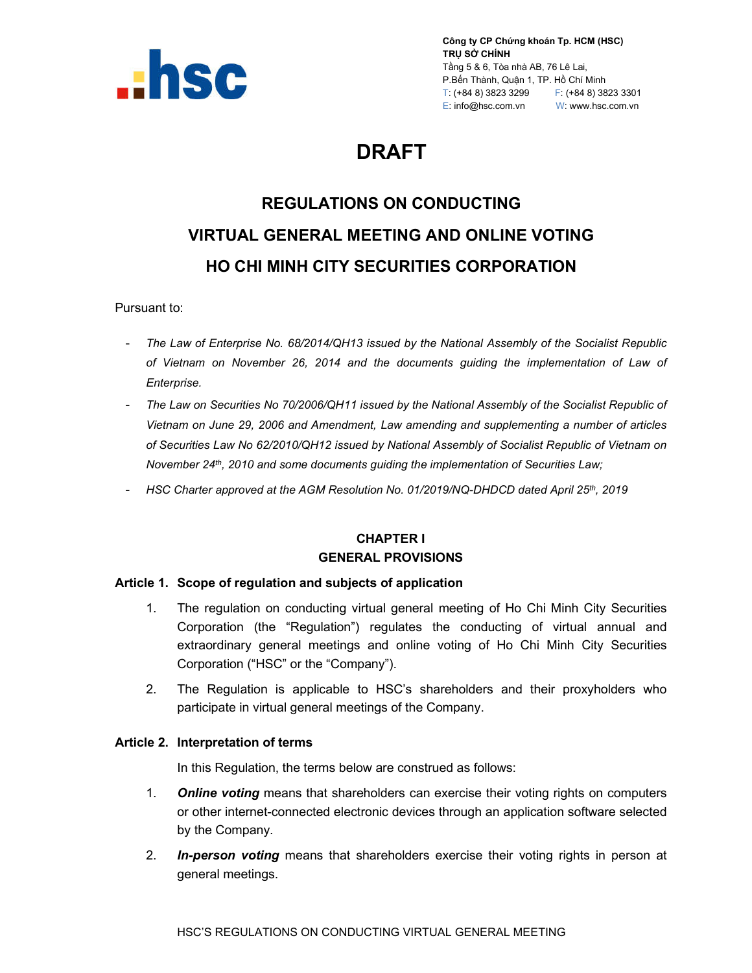

**Công ty CP Chứng khoán Tp. HCM (HSC) TRỤ SỞ CHÍNH** Tầng 5 & 6, Tòa nhà AB, 76 Lê Lai, P.Bến Thành, Quận 1, TP. Hồ Chí Minh T: (+84 8) 3823 3299 F: (+84 8) 3823 3301 E: info@hsc.com.vn W: www.hsc.com.vn

# **DRAFT**

# **REGULATIONS ON CONDUCTING VIRTUAL GENERAL MEETING AND ONLINE VOTING HO CHI MINH CITY SECURITIES CORPORATION**

Pursuant to:

- *The Law of Enterprise No. 68/2014/QH13 issued by the National Assembly of the Socialist Republic of Vietnam on November 26, 2014 and the documents guiding the implementation of Law of Enterprise.*
- *The Law on Securities No 70/2006/QH11 issued by the National Assembly of the Socialist Republic of Vietnam on June 29, 2006 and Amendment, Law amending and supplementing a number of articles of Securities Law No 62/2010/QH12 issued by National Assembly of Socialist Republic of Vietnam on November 24th, 2010 and some documents guiding the implementation of Securities Law;*
- *HSC Charter approved at the AGM Resolution No. 01/2019/NQ-DHDCD dated April 25th, 2019*

# **CHAPTER I GENERAL PROVISIONS**

#### **Article 1. Scope of regulation and subjects of application**

- 1. The regulation on conducting virtual general meeting of Ho Chi Minh City Securities Corporation (the "Regulation") regulates the conducting of virtual annual and extraordinary general meetings and online voting of Ho Chi Minh City Securities Corporation ("HSC" or the "Company").
- 2. The Regulation is applicable to HSC's shareholders and their proxyholders who participate in virtual general meetings of the Company.

#### **Article 2. Interpretation of terms**

In this Regulation, the terms below are construed as follows:

- 1. *Online voting* means that shareholders can exercise their voting rights on computers or other internet-connected electronic devices through an application software selected by the Company.
- 2. *In-person voting* means that shareholders exercise their voting rights in person at general meetings.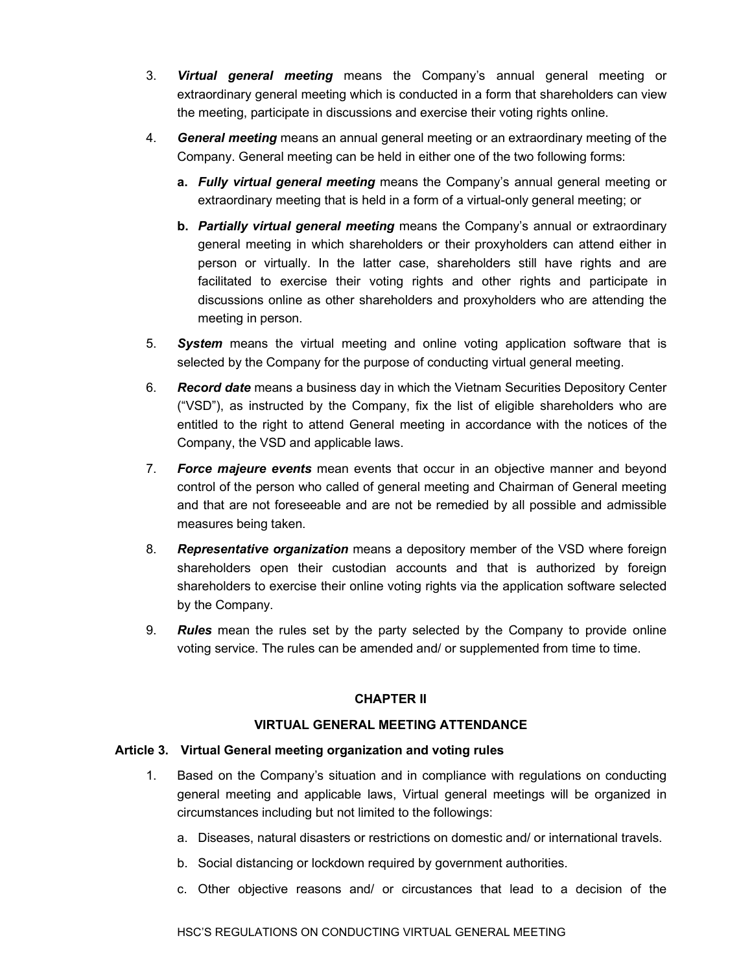- 3. *Virtual general meeting* means the Company's annual general meeting or extraordinary general meeting which is conducted in a form that shareholders can view the meeting, participate in discussions and exercise their voting rights online.
- 4. *General meeting* means an annual general meeting or an extraordinary meeting of the Company. General meeting can be held in either one of the two following forms:
	- **a.** *Fully virtual general meeting* means the Company's annual general meeting or extraordinary meeting that is held in a form of a virtual-only general meeting; or
	- **b.** *Partially virtual general meeting* means the Company's annual or extraordinary general meeting in which shareholders or their proxyholders can attend either in person or virtually. In the latter case, shareholders still have rights and are facilitated to exercise their voting rights and other rights and participate in discussions online as other shareholders and proxyholders who are attending the meeting in person.
- 5. *System* means the virtual meeting and online voting application software that is selected by the Company for the purpose of conducting virtual general meeting.
- 6. *Record date* means a business day in which the Vietnam Securities Depository Center ("VSD"), as instructed by the Company, fix the list of eligible shareholders who are entitled to the right to attend General meeting in accordance with the notices of the Company, the VSD and applicable laws.
- 7. *Force majeure events* mean events that occur in an objective manner and beyond control of the person who called of general meeting and Chairman of General meeting and that are not foreseeable and are not be remedied by all possible and admissible measures being taken.
- 8. *Representative organization* means a depository member of the VSD where foreign shareholders open their custodian accounts and that is authorized by foreign shareholders to exercise their online voting rights via the application software selected by the Company.
- 9. *Rules* mean the rules set by the party selected by the Company to provide online voting service. The rules can be amended and/ or supplemented from time to time.

# **CHAPTER II**

#### **VIRTUAL GENERAL MEETING ATTENDANCE**

#### **Article 3. Virtual General meeting organization and voting rules**

- 1. Based on the Company's situation and in compliance with regulations on conducting general meeting and applicable laws, Virtual general meetings will be organized in circumstances including but not limited to the followings:
	- a. Diseases, natural disasters or restrictions on domestic and/ or international travels.
	- b. Social distancing or lockdown required by government authorities.
	- c. Other objective reasons and/ or circustances that lead to a decision of the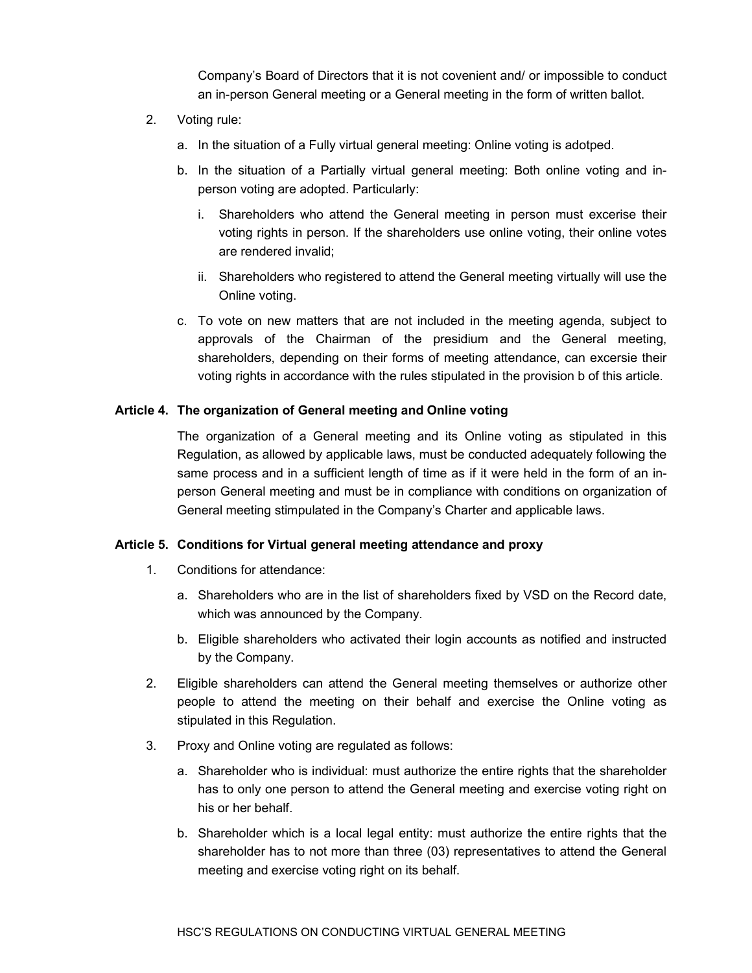Company's Board of Directors that it is not covenient and/ or impossible to conduct an in-person General meeting or a General meeting in the form of written ballot.

- 2. Voting rule:
	- a. In the situation of a Fully virtual general meeting: Online voting is adotped.
	- b. In the situation of a Partially virtual general meeting: Both online voting and inperson voting are adopted. Particularly:
		- i. Shareholders who attend the General meeting in person must excerise their voting rights in person. If the shareholders use online voting, their online votes are rendered invalid;
		- ii. Shareholders who registered to attend the General meeting virtually will use the Online voting.
	- c. To vote on new matters that are not included in the meeting agenda, subject to approvals of the Chairman of the presidium and the General meeting, shareholders, depending on their forms of meeting attendance, can excersie their voting rights in accordance with the rules stipulated in the provision b of this article.

#### **Article 4. The organization of General meeting and Online voting**

The organization of a General meeting and its Online voting as stipulated in this Regulation, as allowed by applicable laws, must be conducted adequately following the same process and in a sufficient length of time as if it were held in the form of an inperson General meeting and must be in compliance with conditions on organization of General meeting stimpulated in the Company's Charter and applicable laws.

#### **Article 5. Conditions for Virtual general meeting attendance and proxy**

- 1. Conditions for attendance:
	- a. Shareholders who are in the list of shareholders fixed by VSD on the Record date, which was announced by the Company.
	- b. Eligible shareholders who activated their login accounts as notified and instructed by the Company.
- 2. Eligible shareholders can attend the General meeting themselves or authorize other people to attend the meeting on their behalf and exercise the Online voting as stipulated in this Regulation.
- 3. Proxy and Online voting are regulated as follows:
	- a. Shareholder who is individual: must authorize the entire rights that the shareholder has to only one person to attend the General meeting and exercise voting right on his or her behalf.
	- b. Shareholder which is a local legal entity: must authorize the entire rights that the shareholder has to not more than three (03) representatives to attend the General meeting and exercise voting right on its behalf.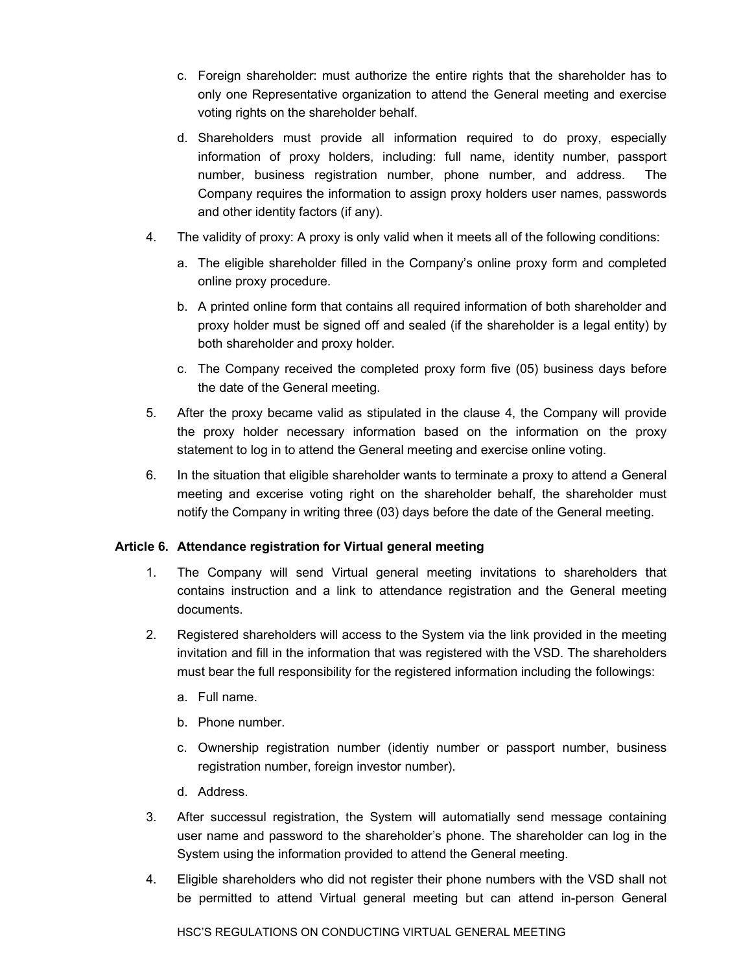- c. Foreign shareholder: must authorize the entire rights that the shareholder has to only one Representative organization to attend the General meeting and exercise voting rights on the shareholder behalf.
- d. Shareholders must provide all information required to do proxy, especially information of proxy holders, including: full name, identity number, passport number, business registration number, phone number, and address. The Company requires the information to assign proxy holders user names, passwords and other identity factors (if any).
- 4. The validity of proxy: A proxy is only valid when it meets all of the following conditions:
	- a. The eligible shareholder filled in the Company's online proxy form and completed online proxy procedure.
	- b. A printed online form that contains all required information of both shareholder and proxy holder must be signed off and sealed (if the shareholder is a legal entity) by both shareholder and proxy holder.
	- c. The Company received the completed proxy form five (05) business days before the date of the General meeting.
- 5. After the proxy became valid as stipulated in the clause 4, the Company will provide the proxy holder necessary information based on the information on the proxy statement to log in to attend the General meeting and exercise online voting.
- 6. In the situation that eligible shareholder wants to terminate a proxy to attend a General meeting and excerise voting right on the shareholder behalf, the shareholder must notify the Company in writing three (03) days before the date of the General meeting.

# **Article 6. Attendance registration for Virtual general meeting**

- 1. The Company will send Virtual general meeting invitations to shareholders that contains instruction and a link to attendance registration and the General meeting documents.
- 2. Registered shareholders will access to the System via the link provided in the meeting invitation and fill in the information that was registered with the VSD. The shareholders must bear the full responsibility for the registered information including the followings:
	- a. Full name.
	- b. Phone number.
	- c. Ownership registration number (identiy number or passport number, business registration number, foreign investor number).
	- d. Address.
- 3. After successul registration, the System will automatially send message containing user name and password to the shareholder's phone. The shareholder can log in the System using the information provided to attend the General meeting.
- 4. Eligible shareholders who did not register their phone numbers with the VSD shall not be permitted to attend Virtual general meeting but can attend in-person General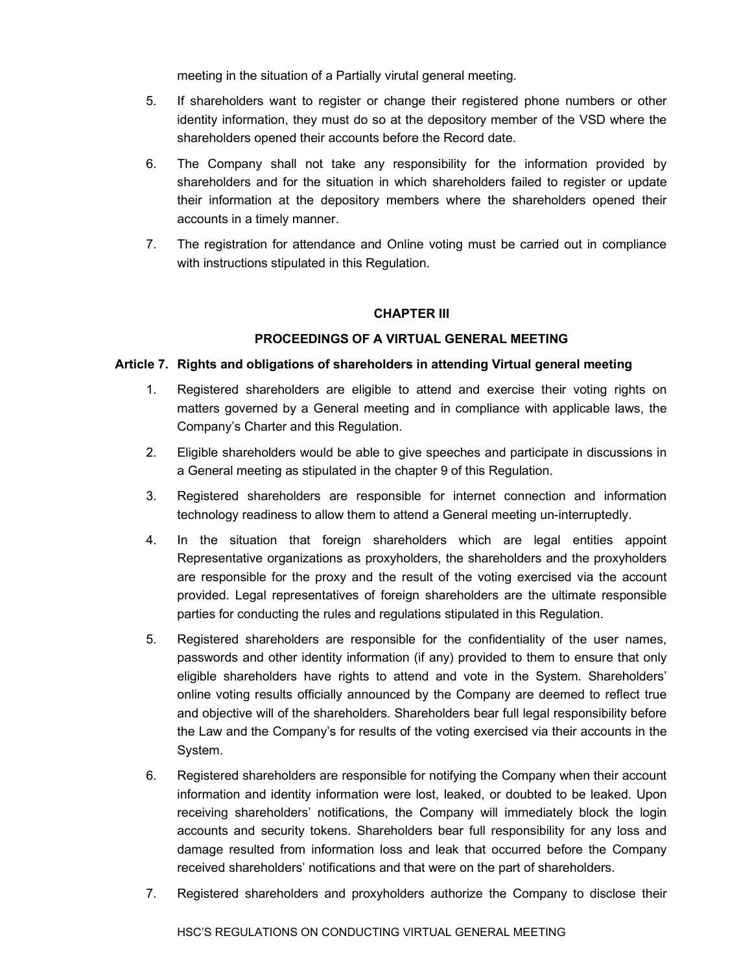meeting in the situation of a Partially virutal general meeting.

- 5. If shareholders want to register or change their registered phone numbers or other identity information, they must do so at the depository member of the VSD where the shareholders opened their accounts before the Record date.
- 6. The Company shall not take any responsibility for the information provided by shareholders and for the situation in which shareholders failed to register or update their information at the depository members where the shareholders opened their accounts in a timely manner.
- 7. The registration for attendance and Online voting must be carried out in compliance with instructions stipulated in this Regulation.

#### **CHAPTER III**

#### **PROCEEDINGS OF A VIRTUAL GENERAL MEETING**

#### **Article 7. Rights and obligations of shareholders in attending Virtual general meeting**

- 1. Registered shareholders are eligible to attend and exercise their voting rights on matters governed by a General meeting and in compliance with applicable laws, the Company's Charter and this Regulation.
- 2. Eligible shareholders would be able to give speeches and participate in discussions in a General meeting as stipulated in the chapter 9 of this Regulation.
- 3. Registered shareholders are responsible for internet connection and information technology readiness to allow them to attend a General meeting un-interruptedly.
- 4. In the situation that foreign shareholders which are legal entities appoint Representative organizations as proxyholders, the shareholders and the proxyholders are responsible for the proxy and the result of the voting exercised via the account provided. Legal representatives of foreign shareholders are the ultimate responsible parties for conducting the rules and regulations stipulated in this Regulation.
- 5. Registered shareholders are responsible for the confidentiality of the user names, passwords and other identity information (if any) provided to them to ensure that only eligible shareholders have rights to attend and vote in the System. Shareholders' online voting results officially announced by the Company are deemed to reflect true and objective will of the shareholders. Shareholders bear full legal responsibility before the Law and the Company's for results of the voting exercised via their accounts in the System.
- 6. Registered shareholders are responsible for notifying the Company when their account information and identity information were lost, leaked, or doubted to be leaked. Upon receiving shareholders' notifications, the Company will immediately block the login accounts and security tokens. Shareholders bear full responsibility for any loss and damage resulted from information loss and leak that occurred before the Company received shareholders' notifications and that were on the part of shareholders.
- 7. Registered shareholders and proxyholders authorize the Company to disclose their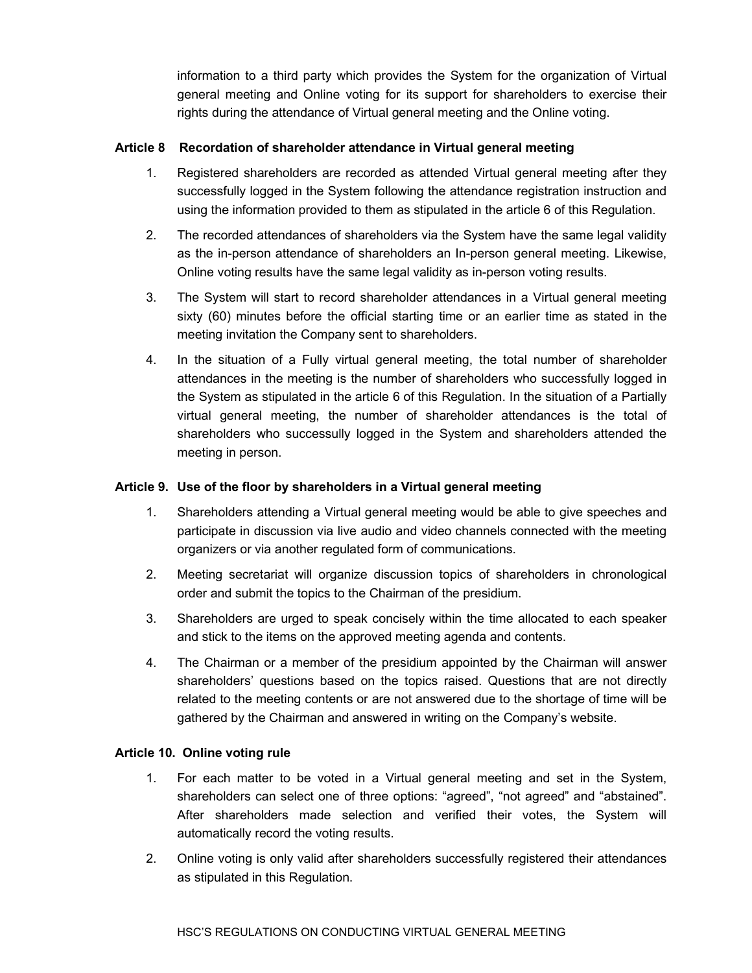information to a third party which provides the System for the organization of Virtual general meeting and Online voting for its support for shareholders to exercise their rights during the attendance of Virtual general meeting and the Online voting.

#### **Article 8 Recordation of shareholder attendance in Virtual general meeting**

- 1. Registered shareholders are recorded as attended Virtual general meeting after they successfully logged in the System following the attendance registration instruction and using the information provided to them as stipulated in the article 6 of this Regulation.
- 2. The recorded attendances of shareholders via the System have the same legal validity as the in-person attendance of shareholders an In-person general meeting. Likewise, Online voting results have the same legal validity as in-person voting results.
- 3. The System will start to record shareholder attendances in a Virtual general meeting sixty (60) minutes before the official starting time or an earlier time as stated in the meeting invitation the Company sent to shareholders.
- 4. In the situation of a Fully virtual general meeting, the total number of shareholder attendances in the meeting is the number of shareholders who successfully logged in the System as stipulated in the article 6 of this Regulation. In the situation of a Partially virtual general meeting, the number of shareholder attendances is the total of shareholders who successully logged in the System and shareholders attended the meeting in person.

#### **Article 9. Use of the floor by shareholders in a Virtual general meeting**

- 1. Shareholders attending a Virtual general meeting would be able to give speeches and participate in discussion via live audio and video channels connected with the meeting organizers or via another regulated form of communications.
- 2. Meeting secretariat will organize discussion topics of shareholders in chronological order and submit the topics to the Chairman of the presidium.
- 3. Shareholders are urged to speak concisely within the time allocated to each speaker and stick to the items on the approved meeting agenda and contents.
- 4. The Chairman or a member of the presidium appointed by the Chairman will answer shareholders' questions based on the topics raised. Questions that are not directly related to the meeting contents or are not answered due to the shortage of time will be gathered by the Chairman and answered in writing on the Company's website.

#### **Article 10. Online voting rule**

- 1. For each matter to be voted in a Virtual general meeting and set in the System, shareholders can select one of three options: "agreed", "not agreed" and "abstained". After shareholders made selection and verified their votes, the System will automatically record the voting results.
- 2. Online voting is only valid after shareholders successfully registered their attendances as stipulated in this Regulation.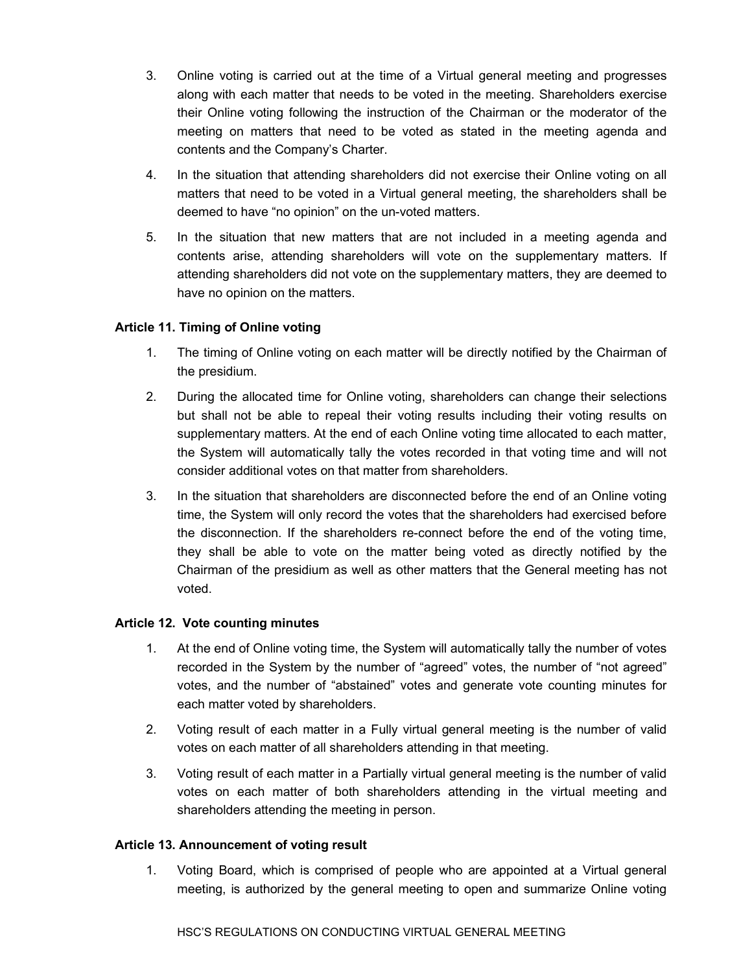- 3. Online voting is carried out at the time of a Virtual general meeting and progresses along with each matter that needs to be voted in the meeting. Shareholders exercise their Online voting following the instruction of the Chairman or the moderator of the meeting on matters that need to be voted as stated in the meeting agenda and contents and the Company's Charter.
- 4. In the situation that attending shareholders did not exercise their Online voting on all matters that need to be voted in a Virtual general meeting, the shareholders shall be deemed to have "no opinion" on the un-voted matters.
- 5. In the situation that new matters that are not included in a meeting agenda and contents arise, attending shareholders will vote on the supplementary matters. If attending shareholders did not vote on the supplementary matters, they are deemed to have no opinion on the matters.

### **Article 11. Timing of Online voting**

- 1. The timing of Online voting on each matter will be directly notified by the Chairman of the presidium.
- 2. During the allocated time for Online voting, shareholders can change their selections but shall not be able to repeal their voting results including their voting results on supplementary matters. At the end of each Online voting time allocated to each matter, the System will automatically tally the votes recorded in that voting time and will not consider additional votes on that matter from shareholders.
- 3. In the situation that shareholders are disconnected before the end of an Online voting time, the System will only record the votes that the shareholders had exercised before the disconnection. If the shareholders re-connect before the end of the voting time, they shall be able to vote on the matter being voted as directly notified by the Chairman of the presidium as well as other matters that the General meeting has not voted.

#### **Article 12. Vote counting minutes**

- 1. At the end of Online voting time, the System will automatically tally the number of votes recorded in the System by the number of "agreed" votes, the number of "not agreed" votes, and the number of "abstained" votes and generate vote counting minutes for each matter voted by shareholders.
- 2. Voting result of each matter in a Fully virtual general meeting is the number of valid votes on each matter of all shareholders attending in that meeting.
- 3. Voting result of each matter in a Partially virtual general meeting is the number of valid votes on each matter of both shareholders attending in the virtual meeting and shareholders attending the meeting in person.

#### **Article 13. Announcement of voting result**

1. Voting Board, which is comprised of people who are appointed at a Virtual general meeting, is authorized by the general meeting to open and summarize Online voting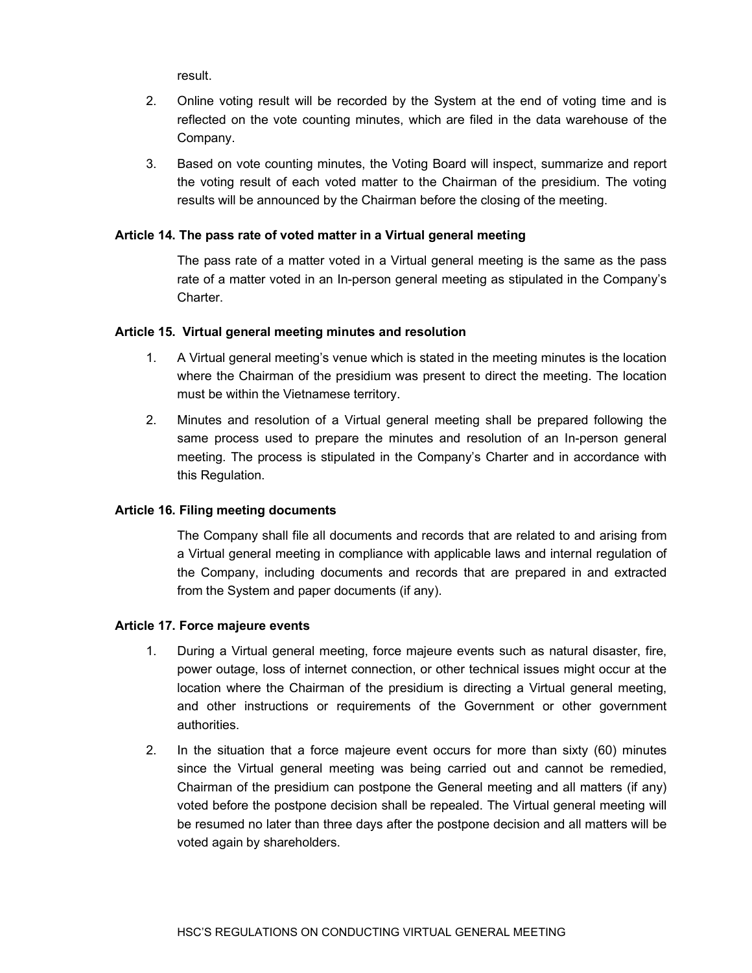result.

- 2. Online voting result will be recorded by the System at the end of voting time and is reflected on the vote counting minutes, which are filed in the data warehouse of the Company.
- 3. Based on vote counting minutes, the Voting Board will inspect, summarize and report the voting result of each voted matter to the Chairman of the presidium. The voting results will be announced by the Chairman before the closing of the meeting.

#### **Article 14. The pass rate of voted matter in a Virtual general meeting**

The pass rate of a matter voted in a Virtual general meeting is the same as the pass rate of a matter voted in an In-person general meeting as stipulated in the Company's Charter.

#### **Article 15. Virtual general meeting minutes and resolution**

- 1. A Virtual general meeting's venue which is stated in the meeting minutes is the location where the Chairman of the presidium was present to direct the meeting. The location must be within the Vietnamese territory.
- 2. Minutes and resolution of a Virtual general meeting shall be prepared following the same process used to prepare the minutes and resolution of an In-person general meeting. The process is stipulated in the Company's Charter and in accordance with this Regulation.

#### **Article 16. Filing meeting documents**

The Company shall file all documents and records that are related to and arising from a Virtual general meeting in compliance with applicable laws and internal regulation of the Company, including documents and records that are prepared in and extracted from the System and paper documents (if any).

#### **Article 17. Force majeure events**

- 1. During a Virtual general meeting, force majeure events such as natural disaster, fire, power outage, loss of internet connection, or other technical issues might occur at the location where the Chairman of the presidium is directing a Virtual general meeting, and other instructions or requirements of the Government or other government authorities.
- 2. In the situation that a force majeure event occurs for more than sixty (60) minutes since the Virtual general meeting was being carried out and cannot be remedied, Chairman of the presidium can postpone the General meeting and all matters (if any) voted before the postpone decision shall be repealed. The Virtual general meeting will be resumed no later than three days after the postpone decision and all matters will be voted again by shareholders.